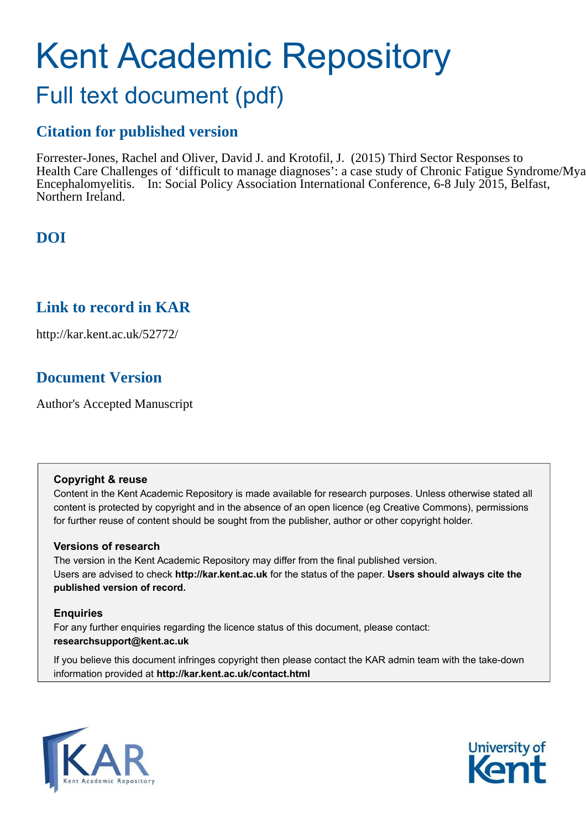# Kent Academic Repository

## Full text document (pdf)

## **Citation for published version**

Forrester-Jones, Rachel and Oliver, David J. and Krotofil, J. (2015) Third Sector Responses to Health Care Challenges of 'difficult to manage diagnoses': a case study of Chronic Fatigue Syndrome/Mya Encephalomyelitis. In: Social Policy Association International Conference, 6-8 July 2015, Belfast, Northern Ireland.

## **DOI**

## **Link to record in KAR**

http://kar.kent.ac.uk/52772/

## **Document Version**

Author's Accepted Manuscript

#### **Copyright & reuse**

Content in the Kent Academic Repository is made available for research purposes. Unless otherwise stated all content is protected by copyright and in the absence of an open licence (eg Creative Commons), permissions for further reuse of content should be sought from the publisher, author or other copyright holder.

#### **Versions of research**

The version in the Kent Academic Repository may differ from the final published version. Users are advised to check **http://kar.kent.ac.uk** for the status of the paper. **Users should always cite the published version of record.**

#### **Enquiries**

For any further enquiries regarding the licence status of this document, please contact: **researchsupport@kent.ac.uk**

If you believe this document infringes copyright then please contact the KAR admin team with the take-down information provided at **http://kar.kent.ac.uk/contact.html**



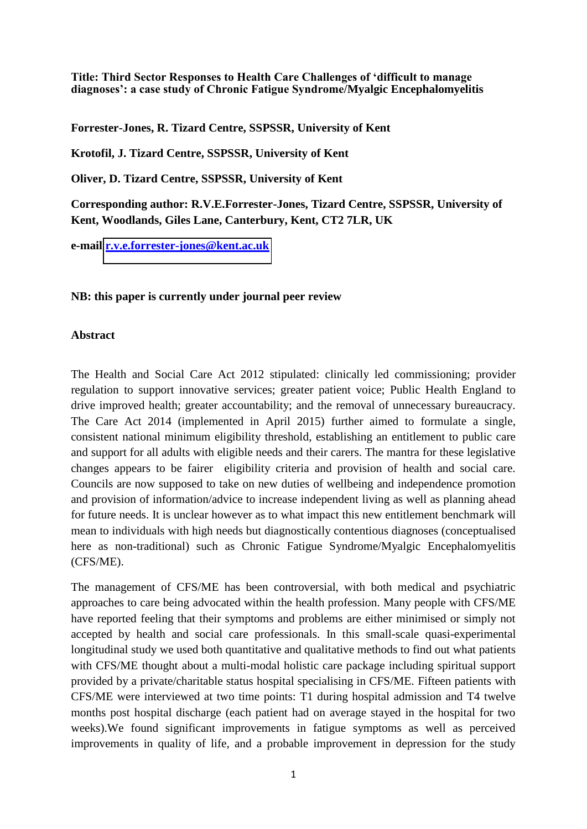**Title: Third Sector Responses to Health Care Challenges of 'difficult to manage diagnoses': a case study of Chronic Fatigue Syndrome/Myalgic Encephalomyelitis** 

**Forrester-Jones, R. Tizard Centre, SSPSSR, University of Kent** 

**Krotofil, J. Tizard Centre, SSPSSR, University of Kent** 

**Oliver, D. Tizard Centre, SSPSSR, University of Kent** 

**Corresponding author: R.V.E.Forrester-Jones, Tizard Centre, SSPSSR, University of Kent, Woodlands, Giles Lane, Canterbury, Kent, CT2 7LR, UK** 

**e-mail [r.v.e.forrester-jones@kent.ac.uk](mailto:r.v.e.forrester-jones@kent.ac.uk)**

#### **NB: this paper is currently under journal peer review**

#### **Abstract**

The Health and Social Care Act 2012 stipulated: clinically led commissioning; provider regulation to support innovative services; greater patient voice; Public Health England to drive improved health; greater accountability; and the removal of unnecessary bureaucracy. The Care Act 2014 (implemented in April 2015) further aimed to formulate a single, consistent national minimum eligibility threshold, establishing an entitlement to public care and support for all adults with eligible needs and their carers. The mantra for these legislative changes appears to be fairer eligibility criteria and provision of health and social care. Councils are now supposed to take on new duties of wellbeing and independence promotion and provision of information/advice to increase independent living as well as planning ahead for future needs. It is unclear however as to what impact this new entitlement benchmark will mean to individuals with high needs but diagnostically contentious diagnoses (conceptualised here as non-traditional) such as Chronic Fatigue Syndrome/Myalgic Encephalomyelitis (CFS/ME).

The management of CFS/ME has been controversial, with both medical and psychiatric approaches to care being advocated within the health profession. Many people with CFS/ME have reported feeling that their symptoms and problems are either minimised or simply not accepted by health and social care professionals. In this small-scale quasi-experimental longitudinal study we used both quantitative and qualitative methods to find out what patients with CFS/ME thought about a multi-modal holistic care package including spiritual support provided by a private/charitable status hospital specialising in CFS/ME. Fifteen patients with CFS/ME were interviewed at two time points: T1 during hospital admission and T4 twelve months post hospital discharge (each patient had on average stayed in the hospital for two weeks).We found significant improvements in fatigue symptoms as well as perceived improvements in quality of life, and a probable improvement in depression for the study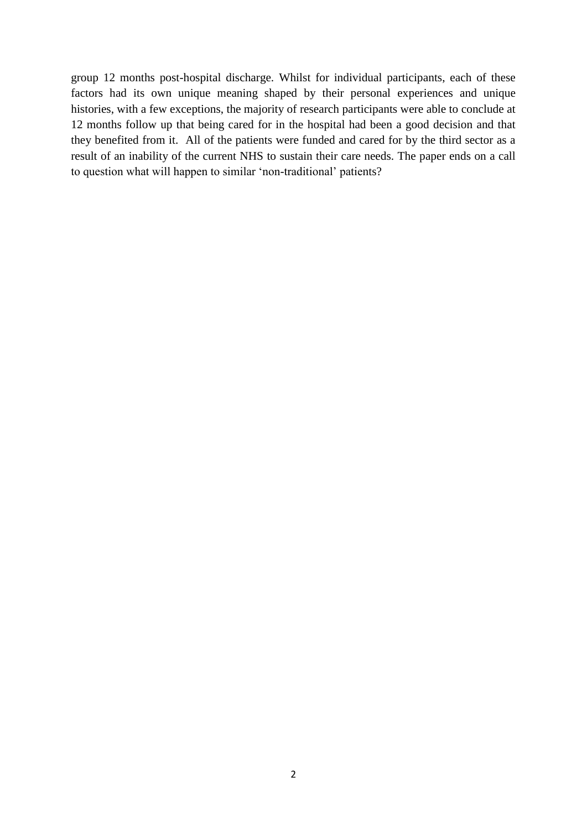group 12 months post-hospital discharge. Whilst for individual participants, each of these factors had its own unique meaning shaped by their personal experiences and unique histories, with a few exceptions, the majority of research participants were able to conclude at 12 months follow up that being cared for in the hospital had been a good decision and that they benefited from it. All of the patients were funded and cared for by the third sector as a result of an inability of the current NHS to sustain their care needs. The paper ends on a call to question what will happen to similar 'non-traditional' patients?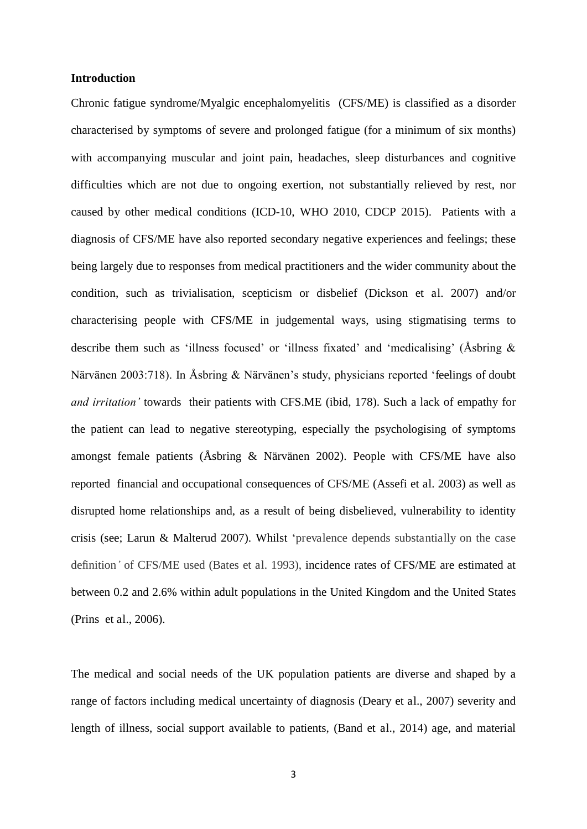#### **Introduction**

Chronic fatigue syndrome/Myalgic encephalomyelitis (CFS/ME) is classified as a disorder characterised by symptoms of severe and prolonged fatigue (for a minimum of six months) with accompanying muscular and joint pain, headaches, sleep disturbances and cognitive difficulties which are not due to ongoing exertion, not substantially relieved by rest, nor caused by other medical conditions (ICD-10, WHO 2010, CDCP 2015). Patients with a diagnosis of CFS/ME have also reported secondary negative experiences and feelings; these being largely due to responses from medical practitioners and the wider community about the condition, such as trivialisation, scepticism or disbelief (Dickson et al. 2007) and/or characterising people with CFS/ME in judgemental ways, using stigmatising terms to describe them such as 'illness focused' or 'illness fixated' and 'medicalising' (Åsbring & Närvänen 2003:718). In Åsbring & Närvänen's study, physicians reported 'feelings of doubt *and irritation'* towards their patients with CFS.ME (ibid, 178). Such a lack of empathy for the patient can lead to negative stereotyping, especially the psychologising of symptoms amongst female patients (Åsbring & Närvänen 2002). People with CFS/ME have also reported financial and occupational consequences of CFS/ME (Assefi et al. 2003) as well as disrupted home relationships and, as a result of being disbelieved, vulnerability to identity crisis (see; Larun & Malterud 2007). Whilst 'prevalence depends substantially on the case definition*'* of CFS/ME used (Bates et al. 1993), incidence rates of CFS/ME are estimated at between 0.2 and 2.6% within adult populations in the United Kingdom and the United States (Prins et al., 2006).

The medical and social needs of the UK population patients are diverse and shaped by a range of factors including medical uncertainty of diagnosis (Deary et al., 2007) severity and length of illness, social support available to patients, (Band et al., 2014) age, and material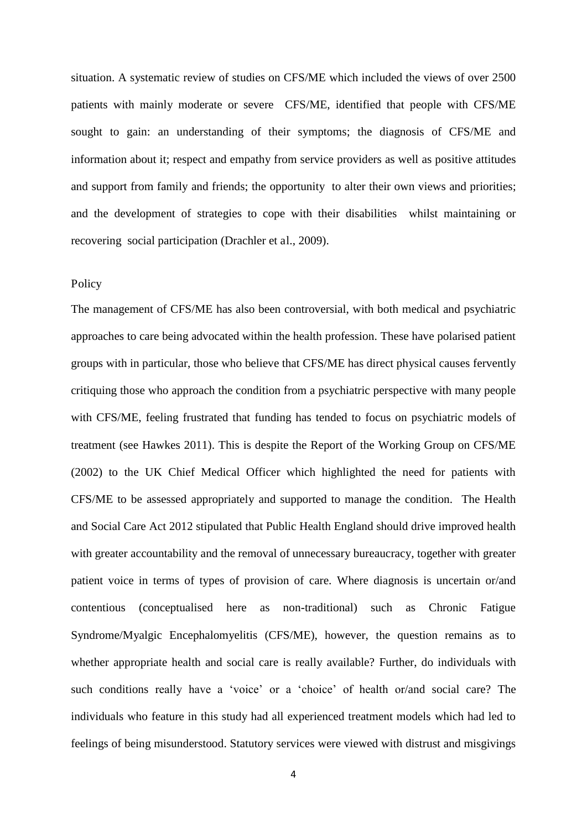situation. A systematic review of studies on CFS/ME which included the views of over 2500 patients with mainly moderate or severe CFS/ME, identified that people with CFS/ME sought to gain: an understanding of their symptoms; the diagnosis of CFS/ME and information about it; respect and empathy from service providers as well as positive attitudes and support from family and friends; the opportunity to alter their own views and priorities; and the development of strategies to cope with their disabilities whilst maintaining or recovering social participation (Drachler et al., 2009).

#### Policy

The management of CFS/ME has also been controversial, with both medical and psychiatric approaches to care being advocated within the health profession. These have polarised patient groups with in particular, those who believe that CFS/ME has direct physical causes fervently critiquing those who approach the condition from a psychiatric perspective with many people with CFS/ME, feeling frustrated that funding has tended to focus on psychiatric models of treatment (see Hawkes 2011). This is despite the Report of the Working Group on CFS/ME (2002) to the UK Chief Medical Officer which highlighted the need for patients with CFS/ME to be assessed appropriately and supported to manage the condition. The Health and Social Care Act 2012 stipulated that Public Health England should drive improved health with greater accountability and the removal of unnecessary bureaucracy, together with greater patient voice in terms of types of provision of care. Where diagnosis is uncertain or/and contentious (conceptualised here as non-traditional) such as Chronic Fatigue Syndrome/Myalgic Encephalomyelitis (CFS/ME), however, the question remains as to whether appropriate health and social care is really available? Further, do individuals with such conditions really have a 'voice' or a 'choice' of health or/and social care? The individuals who feature in this study had all experienced treatment models which had led to feelings of being misunderstood. Statutory services were viewed with distrust and misgivings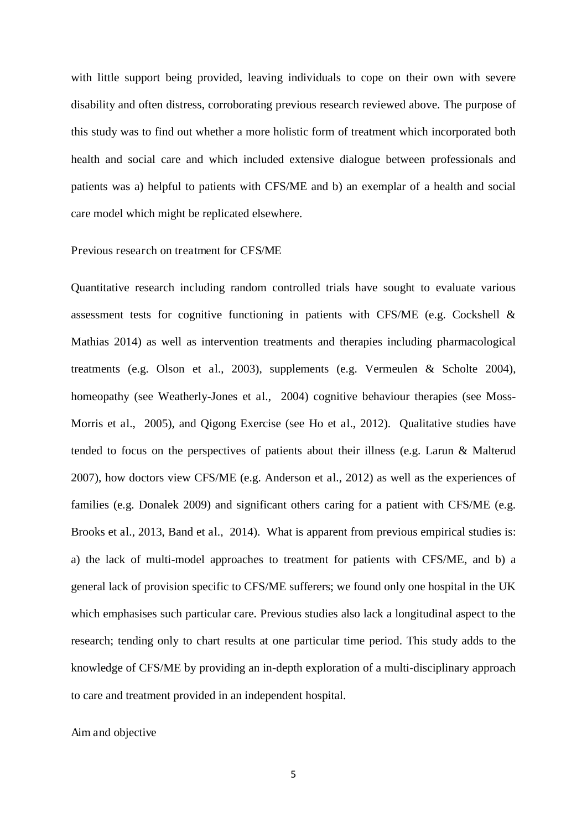with little support being provided, leaving individuals to cope on their own with severe disability and often distress, corroborating previous research reviewed above. The purpose of this study was to find out whether a more holistic form of treatment which incorporated both health and social care and which included extensive dialogue between professionals and patients was a) helpful to patients with CFS/ME and b) an exemplar of a health and social care model which might be replicated elsewhere.

#### Previous research on treatment for CFS/ME

Quantitative research including random controlled trials have sought to evaluate various assessment tests for cognitive functioning in patients with CFS/ME (e.g. Cockshell & Mathias 2014) as well as intervention treatments and therapies including pharmacological treatments (e.g. Olson et al., 2003), supplements (e.g. Vermeulen & Scholte 2004), homeopathy (see Weatherly-Jones et al., 2004) cognitive behaviour therapies (see Moss-Morris et al., 2005), and Qigong Exercise (see Ho et al., 2012). Qualitative studies have tended to focus on the perspectives of patients about their illness (e.g. Larun & Malterud 2007), how doctors view CFS/ME (e.g. Anderson et al., 2012) as well as the experiences of families (e.g. Donalek 2009) and significant others caring for a patient with CFS/ME (e.g. Brooks et al., 2013, Band et al., 2014). What is apparent from previous empirical studies is: a) the lack of multi-model approaches to treatment for patients with CFS/ME, and b) a general lack of provision specific to CFS/ME sufferers; we found only one hospital in the UK which emphasises such particular care. Previous studies also lack a longitudinal aspect to the research; tending only to chart results at one particular time period. This study adds to the knowledge of CFS/ME by providing an in-depth exploration of a multi-disciplinary approach to care and treatment provided in an independent hospital.

#### Aim and objective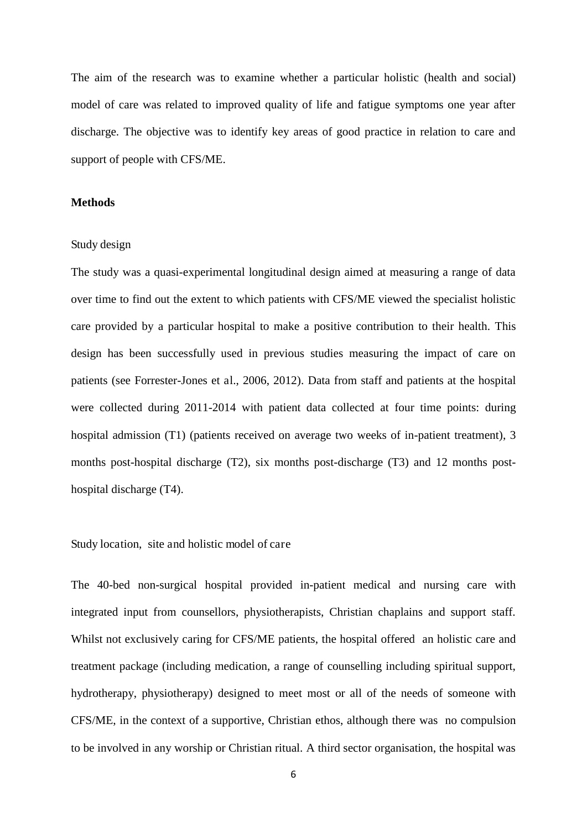The aim of the research was to examine whether a particular holistic (health and social) model of care was related to improved quality of life and fatigue symptoms one year after discharge. The objective was to identify key areas of good practice in relation to care and support of people with CFS/ME.

#### **Methods**

#### Study design

The study was a quasi-experimental longitudinal design aimed at measuring a range of data over time to find out the extent to which patients with CFS/ME viewed the specialist holistic care provided by a particular hospital to make a positive contribution to their health. This design has been successfully used in previous studies measuring the impact of care on patients (see Forrester-Jones et al., 2006, 2012). Data from staff and patients at the hospital were collected during 2011-2014 with patient data collected at four time points: during hospital admission (T1) (patients received on average two weeks of in-patient treatment), 3 months post-hospital discharge (T2), six months post-discharge (T3) and 12 months posthospital discharge (T4).

#### Study location, site and holistic model of care

The 40-bed non-surgical hospital provided in-patient medical and nursing care with integrated input from counsellors, physiotherapists, Christian chaplains and support staff. Whilst not exclusively caring for CFS/ME patients, the hospital offered an holistic care and treatment package (including medication, a range of counselling including spiritual support, hydrotherapy, physiotherapy) designed to meet most or all of the needs of someone with CFS/ME, in the context of a supportive, Christian ethos, although there was no compulsion to be involved in any worship or Christian ritual. A third sector organisation, the hospital was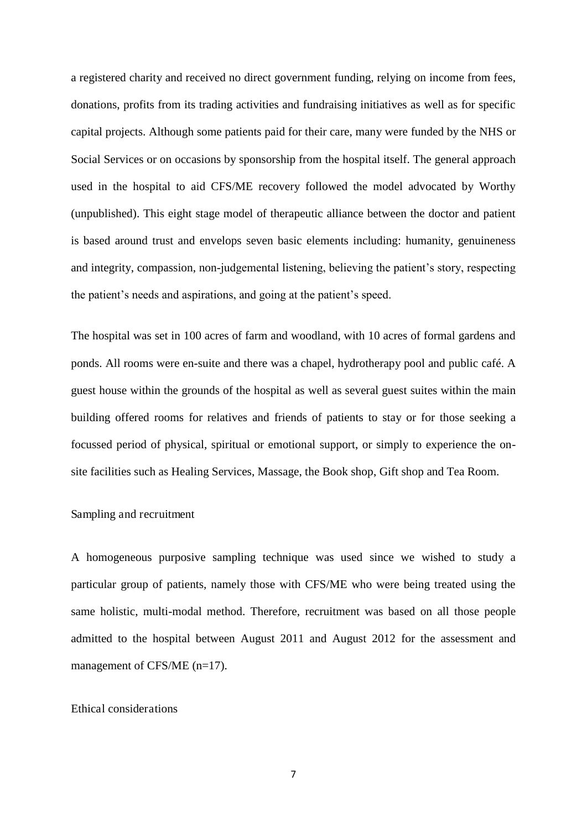a registered charity and received no direct government funding, relying on income from fees, donations, profits from its trading activities and fundraising initiatives as well as for specific capital projects. Although some patients paid for their care, many were funded by the NHS or Social Services or on occasions by sponsorship from the hospital itself. The general approach used in the hospital to aid CFS/ME recovery followed the model advocated by Worthy (unpublished). This eight stage model of therapeutic alliance between the doctor and patient is based around trust and envelops seven basic elements including: humanity, genuineness and integrity, compassion, non-judgemental listening, believing the patient's story, respecting the patient's needs and aspirations, and going at the patient's speed.

The hospital was set in 100 acres of farm and woodland, with 10 acres of formal gardens and ponds. All rooms were en-suite and there was a chapel, hydrotherapy pool and public café. A guest house within the grounds of the hospital as well as several guest suites within the main building offered rooms for relatives and friends of patients to stay or for those seeking a focussed period of physical, spiritual or emotional support, or simply to experience the onsite facilities such as Healing Services, Massage, the Book shop, Gift shop and Tea Room.

#### Sampling and recruitment

A homogeneous purposive sampling technique was used since we wished to study a particular group of patients, namely those with CFS/ME who were being treated using the same holistic, multi-modal method. Therefore, recruitment was based on all those people admitted to the hospital between August 2011 and August 2012 for the assessment and management of CFS/ME (n=17).

#### Ethical considerations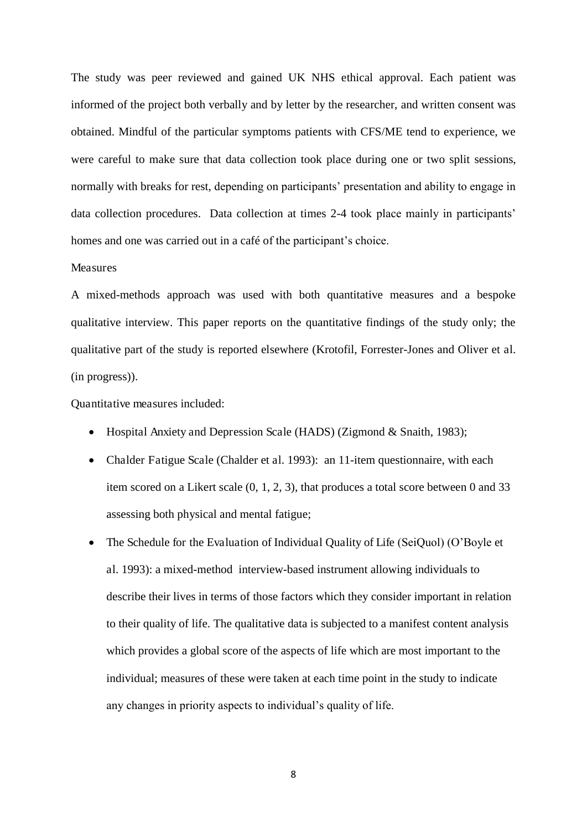The study was peer reviewed and gained UK NHS ethical approval. Each patient was informed of the project both verbally and by letter by the researcher, and written consent was obtained. Mindful of the particular symptoms patients with CFS/ME tend to experience, we were careful to make sure that data collection took place during one or two split sessions, normally with breaks for rest, depending on participants' presentation and ability to engage in data collection procedures. Data collection at times 2-4 took place mainly in participants' homes and one was carried out in a café of the participant's choice.

#### Measures

A mixed-methods approach was used with both quantitative measures and a bespoke qualitative interview. This paper reports on the quantitative findings of the study only; the qualitative part of the study is reported elsewhere (Krotofil, Forrester-Jones and Oliver et al. (in progress)).

Quantitative measures included:

- Hospital Anxiety and Depression Scale (HADS) (Zigmond & Snaith, 1983);
- Chalder Fatigue Scale (Chalder et al. 1993): an 11-item questionnaire, with each item scored on a Likert scale (0, 1, 2, 3), that produces a total score between 0 and 33 assessing both physical and mental fatigue;
- The Schedule for the Evaluation of Individual Quality of Life (SeiQuol) (O'Boyle et al. 1993): a mixed-method interview-based instrument allowing individuals to describe their lives in terms of those factors which they consider important in relation to their quality of life. The qualitative data is subjected to a manifest content analysis which provides a global score of the aspects of life which are most important to the individual; measures of these were taken at each time point in the study to indicate any changes in priority aspects to individual's quality of life.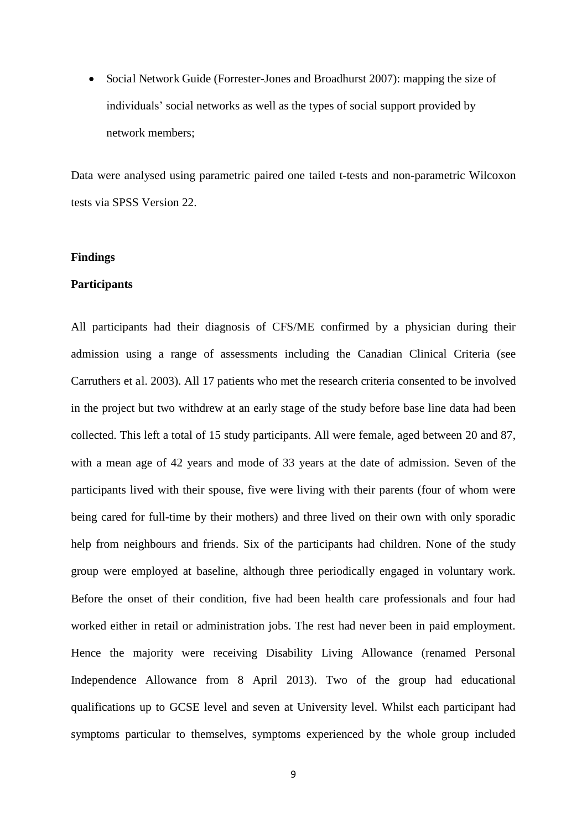• Social Network Guide (Forrester-Jones and Broadhurst 2007): mapping the size of individuals' social networks as well as the types of social support provided by network members;

Data were analysed using parametric paired one tailed t-tests and non-parametric Wilcoxon tests via SPSS Version 22.

#### **Findings**

#### **Participants**

All participants had their diagnosis of CFS/ME confirmed by a physician during their admission using a range of assessments including the Canadian Clinical Criteria (see Carruthers et al. 2003). All 17 patients who met the research criteria consented to be involved in the project but two withdrew at an early stage of the study before base line data had been collected. This left a total of 15 study participants. All were female, aged between 20 and 87, with a mean age of 42 years and mode of 33 years at the date of admission. Seven of the participants lived with their spouse, five were living with their parents (four of whom were being cared for full-time by their mothers) and three lived on their own with only sporadic help from neighbours and friends. Six of the participants had children. None of the study group were employed at baseline, although three periodically engaged in voluntary work. Before the onset of their condition, five had been health care professionals and four had worked either in retail or administration jobs. The rest had never been in paid employment. Hence the majority were receiving Disability Living Allowance (renamed Personal Independence Allowance from 8 April 2013). Two of the group had educational qualifications up to GCSE level and seven at University level. Whilst each participant had symptoms particular to themselves, symptoms experienced by the whole group included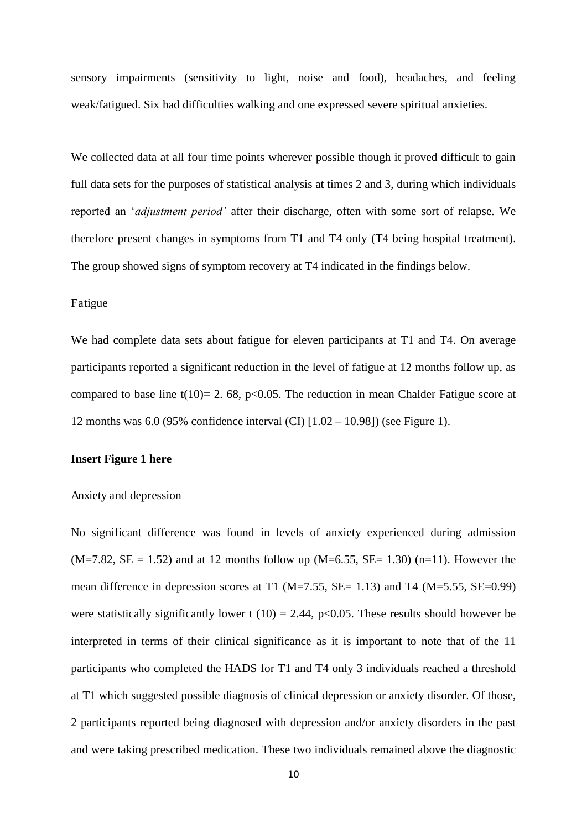sensory impairments (sensitivity to light, noise and food), headaches, and feeling weak/fatigued. Six had difficulties walking and one expressed severe spiritual anxieties.

We collected data at all four time points wherever possible though it proved difficult to gain full data sets for the purposes of statistical analysis at times 2 and 3, during which individuals reported an '*adjustment period'* after their discharge, often with some sort of relapse. We therefore present changes in symptoms from T1 and T4 only (T4 being hospital treatment). The group showed signs of symptom recovery at T4 indicated in the findings below.

#### Fatigue

We had complete data sets about fatigue for eleven participants at T1 and T4. On average participants reported a significant reduction in the level of fatigue at 12 months follow up, as compared to base line t(10)= 2. 68, p<0.05. The reduction in mean Chalder Fatigue score at 12 months was 6.0 (95% confidence interval (CI) [1.02 – 10.98]) (see Figure 1).

#### **Insert Figure 1 here**

#### Anxiety and depression

No significant difference was found in levels of anxiety experienced during admission  $(M=7.82, SE = 1.52)$  and at 12 months follow up  $(M=6.55, SE = 1.30)$  (n=11). However the mean difference in depression scores at T1 ( $M=7.55$ ,  $SE= 1.13$ ) and T4 ( $M=5.55$ ,  $SE=0.99$ ) were statistically significantly lower t (10) = 2.44, p<0.05. These results should however be interpreted in terms of their clinical significance as it is important to note that of the 11 participants who completed the HADS for T1 and T4 only 3 individuals reached a threshold at T1 which suggested possible diagnosis of clinical depression or anxiety disorder. Of those, 2 participants reported being diagnosed with depression and/or anxiety disorders in the past and were taking prescribed medication. These two individuals remained above the diagnostic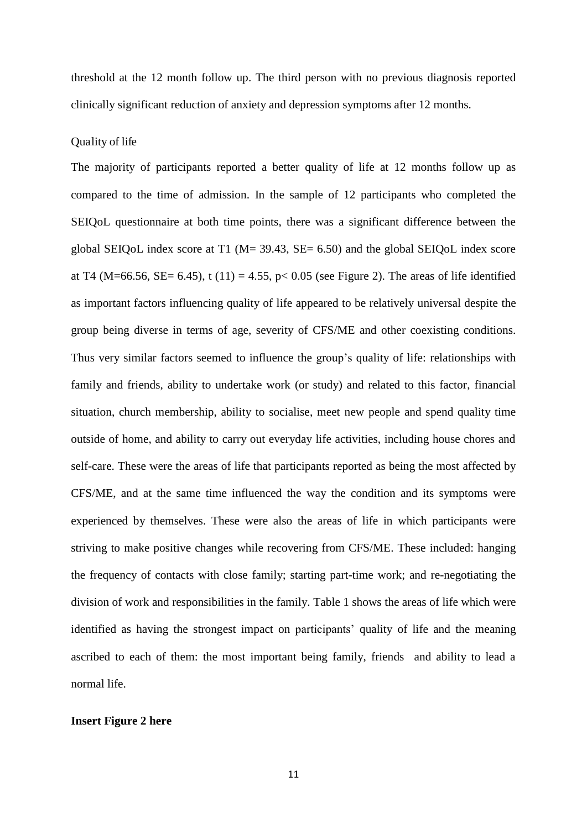threshold at the 12 month follow up. The third person with no previous diagnosis reported clinically significant reduction of anxiety and depression symptoms after 12 months.

#### Quality of life

The majority of participants reported a better quality of life at 12 months follow up as compared to the time of admission. In the sample of 12 participants who completed the SEIQoL questionnaire at both time points, there was a significant difference between the global SEIQoL index score at T1 (M= 39.43, SE= 6.50) and the global SEIQoL index score at T4 (M=66.56, SE= 6.45), t (11) = 4.55, p < 0.05 (see Figure 2). The areas of life identified as important factors influencing quality of life appeared to be relatively universal despite the group being diverse in terms of age, severity of CFS/ME and other coexisting conditions. Thus very similar factors seemed to influence the group's quality of life: relationships with family and friends, ability to undertake work (or study) and related to this factor, financial situation, church membership, ability to socialise, meet new people and spend quality time outside of home, and ability to carry out everyday life activities, including house chores and self-care. These were the areas of life that participants reported as being the most affected by CFS/ME, and at the same time influenced the way the condition and its symptoms were experienced by themselves. These were also the areas of life in which participants were striving to make positive changes while recovering from CFS/ME. These included: hanging the frequency of contacts with close family; starting part-time work; and re-negotiating the division of work and responsibilities in the family. Table 1 shows the areas of life which were identified as having the strongest impact on participants' quality of life and the meaning ascribed to each of them: the most important being family, friends and ability to lead a normal life.

#### **Insert Figure 2 here**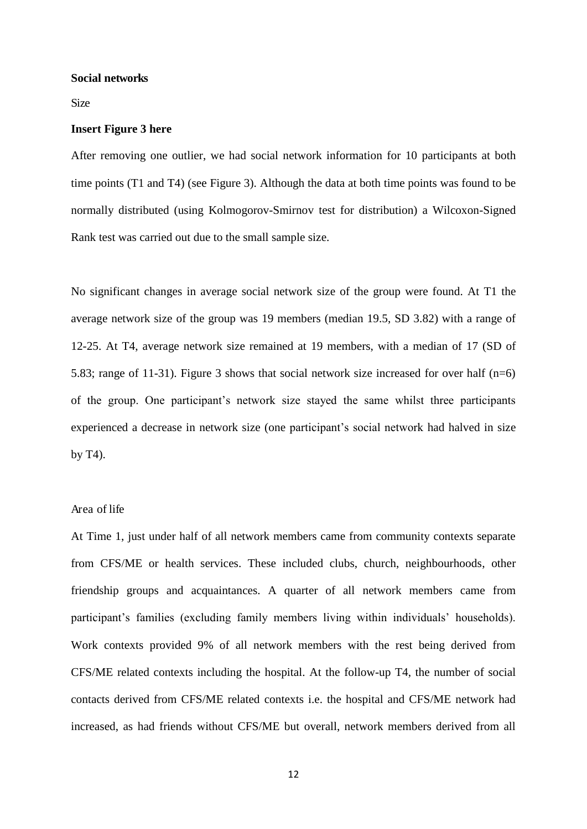#### **Social networks**

Size

#### **Insert Figure 3 here**

After removing one outlier, we had social network information for 10 participants at both time points (T1 and T4) (see Figure 3). Although the data at both time points was found to be normally distributed (using Kolmogorov-Smirnov test for distribution) a Wilcoxon-Signed Rank test was carried out due to the small sample size.

No significant changes in average social network size of the group were found. At T1 the average network size of the group was 19 members (median 19.5, SD 3.82) with a range of 12-25. At T4, average network size remained at 19 members, with a median of 17 (SD of 5.83; range of 11-31). Figure 3 shows that social network size increased for over half (n=6) of the group. One participant's network size stayed the same whilst three participants experienced a decrease in network size (one participant's social network had halved in size by T4).

#### Area of life

At Time 1, just under half of all network members came from community contexts separate from CFS/ME or health services. These included clubs, church, neighbourhoods, other friendship groups and acquaintances. A quarter of all network members came from participant's families (excluding family members living within individuals' households). Work contexts provided 9% of all network members with the rest being derived from CFS/ME related contexts including the hospital. At the follow-up T4, the number of social contacts derived from CFS/ME related contexts i.e. the hospital and CFS/ME network had increased, as had friends without CFS/ME but overall, network members derived from all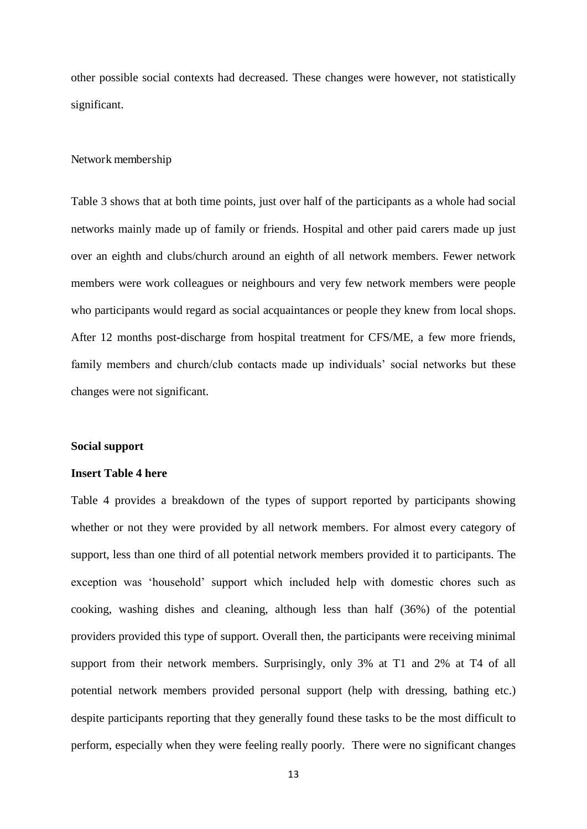other possible social contexts had decreased. These changes were however, not statistically significant.

#### Network membership

Table 3 shows that at both time points, just over half of the participants as a whole had social networks mainly made up of family or friends. Hospital and other paid carers made up just over an eighth and clubs/church around an eighth of all network members. Fewer network members were work colleagues or neighbours and very few network members were people who participants would regard as social acquaintances or people they knew from local shops. After 12 months post-discharge from hospital treatment for CFS/ME, a few more friends, family members and church/club contacts made up individuals' social networks but these changes were not significant.

#### **Social support**

#### **Insert Table 4 here**

Table 4 provides a breakdown of the types of support reported by participants showing whether or not they were provided by all network members. For almost every category of support, less than one third of all potential network members provided it to participants. The exception was 'household' support which included help with domestic chores such as cooking, washing dishes and cleaning, although less than half (36%) of the potential providers provided this type of support. Overall then, the participants were receiving minimal support from their network members. Surprisingly, only 3% at T1 and 2% at T4 of all potential network members provided personal support (help with dressing, bathing etc.) despite participants reporting that they generally found these tasks to be the most difficult to perform, especially when they were feeling really poorly. There were no significant changes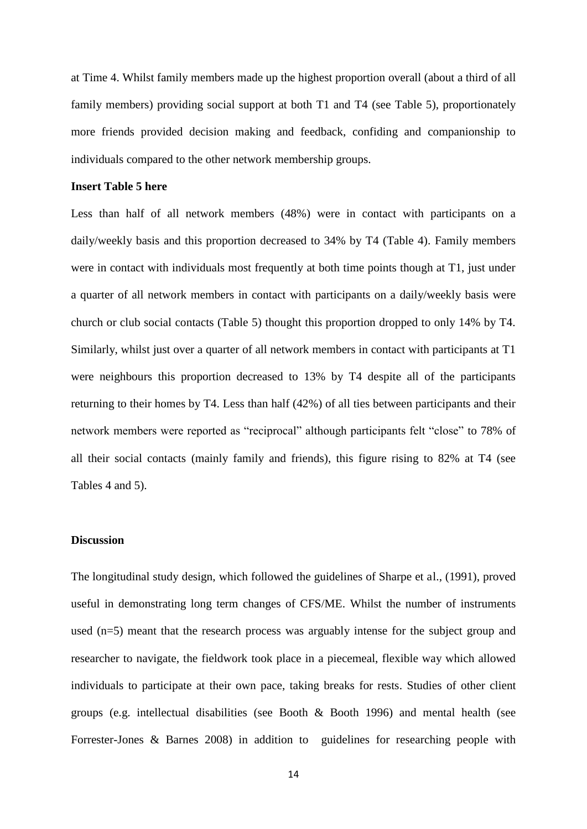at Time 4. Whilst family members made up the highest proportion overall (about a third of all family members) providing social support at both T1 and T4 (see Table 5), proportionately more friends provided decision making and feedback, confiding and companionship to individuals compared to the other network membership groups.

#### **Insert Table 5 here**

Less than half of all network members (48%) were in contact with participants on a daily/weekly basis and this proportion decreased to 34% by T4 (Table 4). Family members were in contact with individuals most frequently at both time points though at T1, just under a quarter of all network members in contact with participants on a daily/weekly basis were church or club social contacts (Table 5) thought this proportion dropped to only 14% by T4. Similarly, whilst just over a quarter of all network members in contact with participants at T1 were neighbours this proportion decreased to 13% by T4 despite all of the participants returning to their homes by T4. Less than half (42%) of all ties between participants and their network members were reported as "reciprocal" although participants felt "close" to 78% of all their social contacts (mainly family and friends), this figure rising to 82% at T4 (see Tables 4 and 5).

#### **Discussion**

The longitudinal study design, which followed the guidelines of Sharpe et al., (1991), proved useful in demonstrating long term changes of CFS/ME. Whilst the number of instruments used (n=5) meant that the research process was arguably intense for the subject group and researcher to navigate, the fieldwork took place in a piecemeal, flexible way which allowed individuals to participate at their own pace, taking breaks for rests. Studies of other client groups (e.g. intellectual disabilities (see Booth & Booth 1996) and mental health (see Forrester-Jones & Barnes 2008) in addition to guidelines for researching people with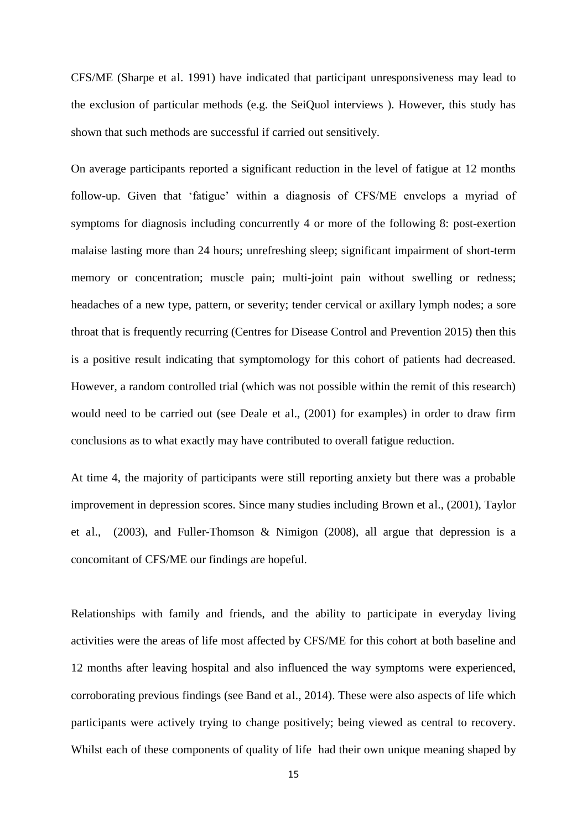CFS/ME (Sharpe et al. 1991) have indicated that participant unresponsiveness may lead to the exclusion of particular methods (e.g. the SeiQuol interviews ). However, this study has shown that such methods are successful if carried out sensitively.

On average participants reported a significant reduction in the level of fatigue at 12 months follow-up. Given that 'fatigue' within a diagnosis of CFS/ME envelops a myriad of symptoms for diagnosis including concurrently 4 or more of the following 8: post-exertion malaise lasting more than 24 hours; unrefreshing sleep; significant impairment of short-term memory or concentration; muscle pain; multi-joint pain without swelling or redness; headaches of a new type, pattern, or severity; tender cervical or axillary lymph nodes; a sore throat that is frequently recurring (Centres for Disease Control and Prevention 2015) then this is a positive result indicating that symptomology for this cohort of patients had decreased. However, a random controlled trial (which was not possible within the remit of this research) would need to be carried out (see Deale et al., (2001) for examples) in order to draw firm conclusions as to what exactly may have contributed to overall fatigue reduction.

At time 4, the majority of participants were still reporting anxiety but there was a probable improvement in depression scores. Since many studies including Brown et al., (2001), Taylor et al., (2003), and Fuller-Thomson & Nimigon (2008), all argue that depression is a concomitant of CFS/ME our findings are hopeful.

Relationships with family and friends, and the ability to participate in everyday living activities were the areas of life most affected by CFS/ME for this cohort at both baseline and 12 months after leaving hospital and also influenced the way symptoms were experienced, corroborating previous findings (see Band et al., 2014). These were also aspects of life which participants were actively trying to change positively; being viewed as central to recovery. Whilst each of these components of quality of life had their own unique meaning shaped by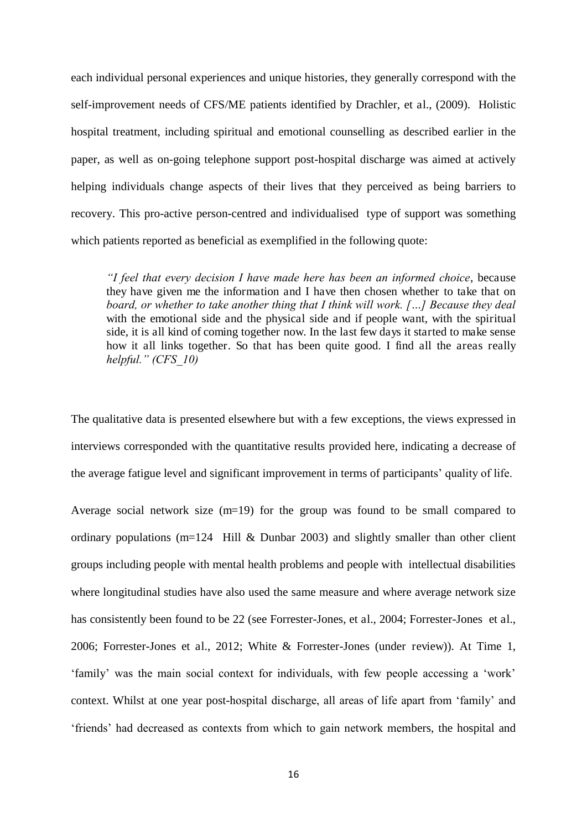each individual personal experiences and unique histories, they generally correspond with the self-improvement needs of CFS/ME patients identified by Drachler, et al., (2009). Holistic hospital treatment, including spiritual and emotional counselling as described earlier in the paper, as well as on-going telephone support post-hospital discharge was aimed at actively helping individuals change aspects of their lives that they perceived as being barriers to recovery. This pro-active person-centred and individualised type of support was something which patients reported as beneficial as exemplified in the following quote:

*"I feel that every decision I have made here has been an informed choice*, because they have given me the information and I have then chosen whether to take that on *board, or whether to take another thing that I think will work. […] Because they deal*  with the emotional side and the physical side and if people want, with the spiritual side, it is all kind of coming together now. In the last few days it started to make sense how it all links together. So that has been quite good. I find all the areas really *helpful." (CFS\_10)*

The qualitative data is presented elsewhere but with a few exceptions, the views expressed in interviews corresponded with the quantitative results provided here, indicating a decrease of the average fatigue level and significant improvement in terms of participants' quality of life.

Average social network size (m=19) for the group was found to be small compared to ordinary populations (m=124 Hill & Dunbar 2003) and slightly smaller than other client groups including people with mental health problems and people with intellectual disabilities where longitudinal studies have also used the same measure and where average network size has consistently been found to be 22 (see Forrester-Jones, et al., 2004; Forrester-Jones et al., 2006; Forrester-Jones et al., 2012; White & Forrester-Jones (under review)). At Time 1, 'family' was the main social context for individuals, with few people accessing a 'work' context. Whilst at one year post-hospital discharge, all areas of life apart from 'family' and 'friends' had decreased as contexts from which to gain network members, the hospital and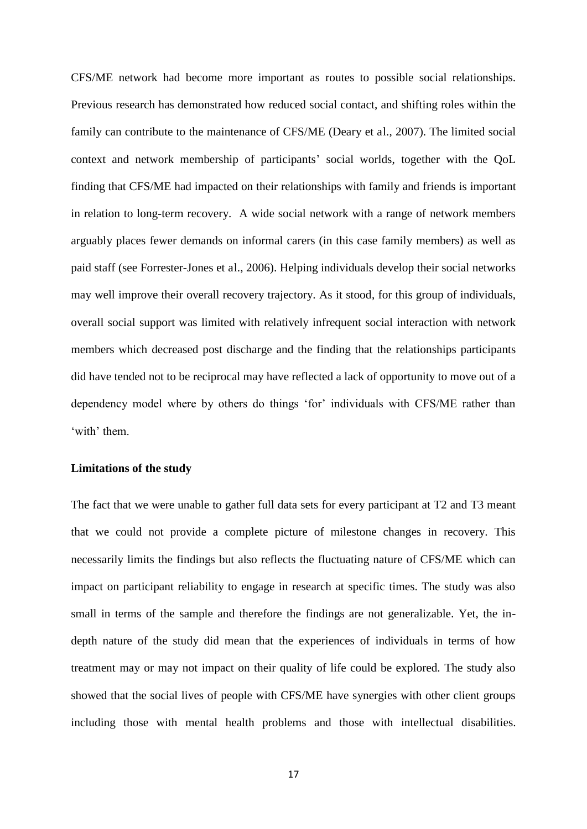CFS/ME network had become more important as routes to possible social relationships. Previous research has demonstrated how reduced social contact, and shifting roles within the family can contribute to the maintenance of CFS/ME (Deary et al., 2007). The limited social context and network membership of participants' social worlds, together with the QoL finding that CFS/ME had impacted on their relationships with family and friends is important in relation to long-term recovery. A wide social network with a range of network members arguably places fewer demands on informal carers (in this case family members) as well as paid staff (see Forrester-Jones et al., 2006). Helping individuals develop their social networks may well improve their overall recovery trajectory. As it stood, for this group of individuals, overall social support was limited with relatively infrequent social interaction with network members which decreased post discharge and the finding that the relationships participants did have tended not to be reciprocal may have reflected a lack of opportunity to move out of a dependency model where by others do things 'for' individuals with CFS/ME rather than 'with' them.

#### **Limitations of the study**

The fact that we were unable to gather full data sets for every participant at T2 and T3 meant that we could not provide a complete picture of milestone changes in recovery. This necessarily limits the findings but also reflects the fluctuating nature of CFS/ME which can impact on participant reliability to engage in research at specific times. The study was also small in terms of the sample and therefore the findings are not generalizable. Yet, the indepth nature of the study did mean that the experiences of individuals in terms of how treatment may or may not impact on their quality of life could be explored. The study also showed that the social lives of people with CFS/ME have synergies with other client groups including those with mental health problems and those with intellectual disabilities.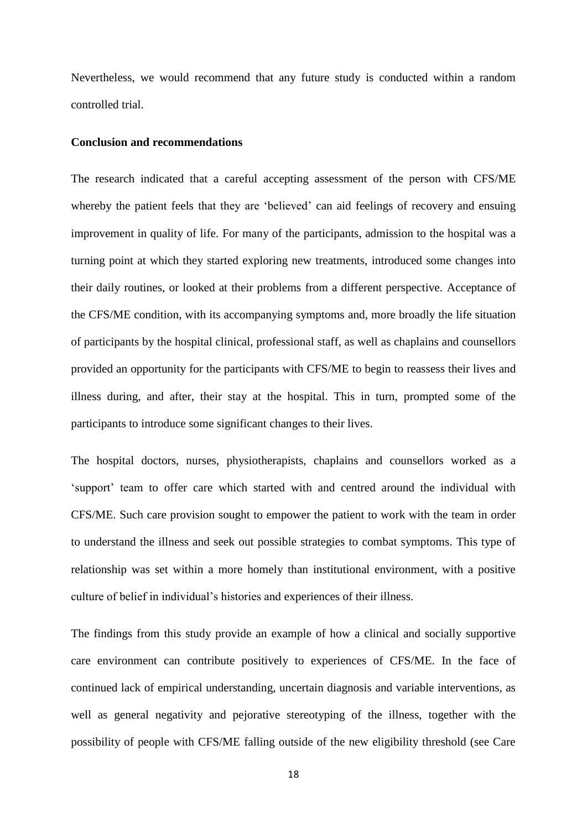Nevertheless, we would recommend that any future study is conducted within a random controlled trial.

#### **Conclusion and recommendations**

The research indicated that a careful accepting assessment of the person with CFS/ME whereby the patient feels that they are 'believed' can aid feelings of recovery and ensuing improvement in quality of life. For many of the participants, admission to the hospital was a turning point at which they started exploring new treatments, introduced some changes into their daily routines, or looked at their problems from a different perspective. Acceptance of the CFS/ME condition, with its accompanying symptoms and, more broadly the life situation of participants by the hospital clinical, professional staff, as well as chaplains and counsellors provided an opportunity for the participants with CFS/ME to begin to reassess their lives and illness during, and after, their stay at the hospital. This in turn, prompted some of the participants to introduce some significant changes to their lives.

The hospital doctors, nurses, physiotherapists, chaplains and counsellors worked as a 'support' team to offer care which started with and centred around the individual with CFS/ME. Such care provision sought to empower the patient to work with the team in order to understand the illness and seek out possible strategies to combat symptoms. This type of relationship was set within a more homely than institutional environment, with a positive culture of belief in individual's histories and experiences of their illness.

The findings from this study provide an example of how a clinical and socially supportive care environment can contribute positively to experiences of CFS/ME. In the face of continued lack of empirical understanding, uncertain diagnosis and variable interventions, as well as general negativity and pejorative stereotyping of the illness, together with the possibility of people with CFS/ME falling outside of the new eligibility threshold (see Care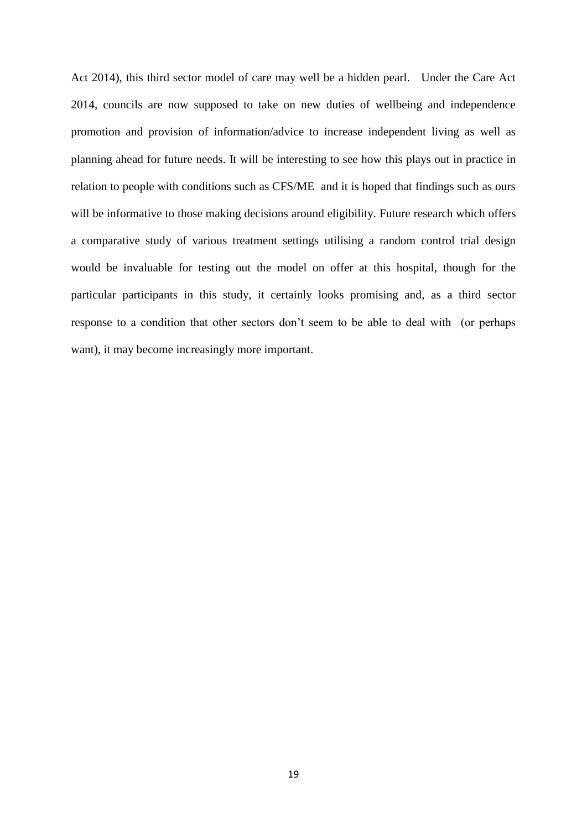Act 2014), this third sector model of care may well be a hidden pearl. Under the Care Act 2014, councils are now supposed to take on new duties of wellbeing and independence promotion and provision of information/advice to increase independent living as well as planning ahead for future needs. It will be interesting to see how this plays out in practice in relation to people with conditions such as CFS/ME and it is hoped that findings such as ours will be informative to those making decisions around eligibility. Future research which offers a comparative study of various treatment settings utilising a random control trial design would be invaluable for testing out the model on offer at this hospital, though for the particular participants in this study, it certainly looks promising and, as a third sector response to a condition that other sectors don't seem to be able to deal with (or perhaps want), it may become increasingly more important.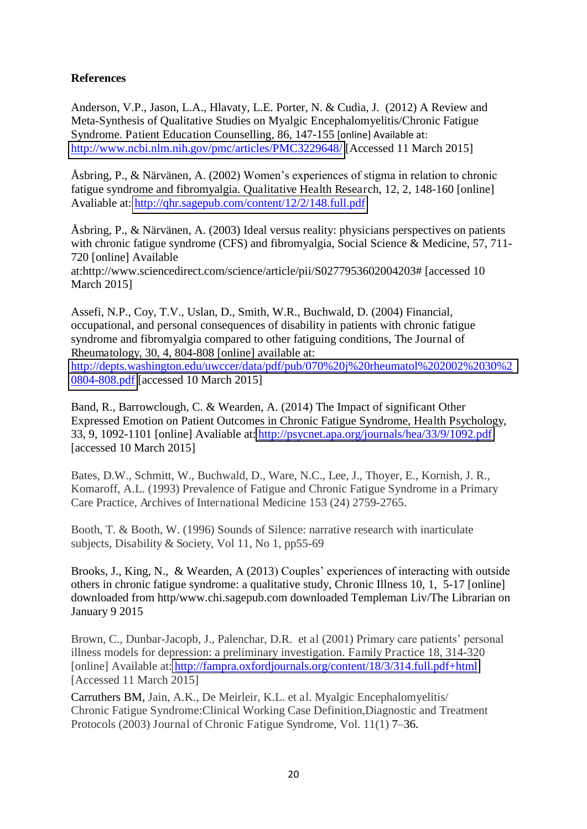#### **References**

Anderson, V.P., Jason, L.A., Hlavaty, L.E. Porter, N. & Cudia, J. (2012) A Review and Meta-Synthesis of Qualitative Studies on Myalgic Encephalomyelitis/Chronic Fatigue Syndrome. Patient Education Counselling, 86, 147-155 [online] Available at: <http://www.ncbi.nlm.nih.gov/pmc/articles/PMC3229648/>[Accessed 11 March 2015]

Åsbring, P., & Närvänen, A. (2002) Women's experiences of stigma in relation to chronic fatigue syndrome and fibromyalgia. Qualitative Health Research, 12, 2, 148-160 [online] Avaliable at:<http://qhr.sagepub.com/content/12/2/148.full.pdf>

Åsbring, P., & Närvänen, A. (2003) Ideal versus reality: physicians perspectives on patients with chronic fatigue syndrome (CFS) and fibromyalgia, Social Science & Medicine, 57, 711-720 [online] Available

at:http://www.sciencedirect.com/science/article/pii/S0277953602004203# [accessed 10 March 2015]

Assefi, N.P., Coy, T.V., Uslan, D., Smith, W.R., Buchwald, D. (2004) Financial, occupational, and personal consequences of disability in patients with chronic fatigue syndrome and fibromyalgia compared to other fatiguing conditions, The Journal of Rheumatology, 30, 4, 804-808 [online] available at: [http://depts.washington.edu/uwccer/data/pdf/pub/070%20j%20rheumatol%202002%2030%2](http://depts.washington.edu/uwccer/data/pdf/pub/070%20j%20rheumatol%202002%2030%20804-808.pdf) [0804-808.pdf](http://depts.washington.edu/uwccer/data/pdf/pub/070%20j%20rheumatol%202002%2030%20804-808.pdf) [accessed 10 March 2015]

Band, R., Barrowclough, C. & Wearden, A. (2014) The Impact of significant Other Expressed Emotion on Patient Outcomes in Chronic Fatigue Syndrome, Health Psychology, 33, 9, 1092-1101 [online] Avaliable at: <http://psycnet.apa.org/journals/hea/33/9/1092.pdf> [accessed 10 March 2015]

Bates, D.W., Schmitt, W., Buchwald, D., Ware, N.C., Lee, J., Thoyer, E., Kornish, J. R., Komaroff, A.L. (1993) Prevalence of Fatigue and Chronic Fatigue Syndrome in a Primary Care Practice, Archives of International Medicine 153 (24) 2759-2765.

Booth, T. & Booth, W. (1996) Sounds of Silence: narrative research with inarticulate subjects, Disability & Society, Vol 11, No 1, pp55-69

Brooks, J., King, N., & Wearden, A (2013) Couples' experiences of interacting with outside others in chronic fatigue syndrome: a qualitative study, Chronic Illness 10, 1, 5-17 [online] downloaded from http/www.chi.sagepub.com downloaded Templeman Liv/The Librarian on January 9 2015

Brown, C., Dunbar-Jacopb, J., Palenchar, D.R. et al (2001) Primary care patients' personal illness models for depression: a preliminary investigation. Family Practice 18, 314-320 [online] Available at: <http://fampra.oxfordjournals.org/content/18/3/314.full.pdf+html> [Accessed 11 March 2015]

Carruthers BM, Jain, A.K., De Meirleir, K.L. et al. Myalgic Encephalomyelitis/ Chronic Fatigue Syndrome:Clinical Working Case Definition,Diagnostic and Treatment Protocols (2003) Journal of Chronic Fatigue Syndrome, Vol. 11(1) 7–36.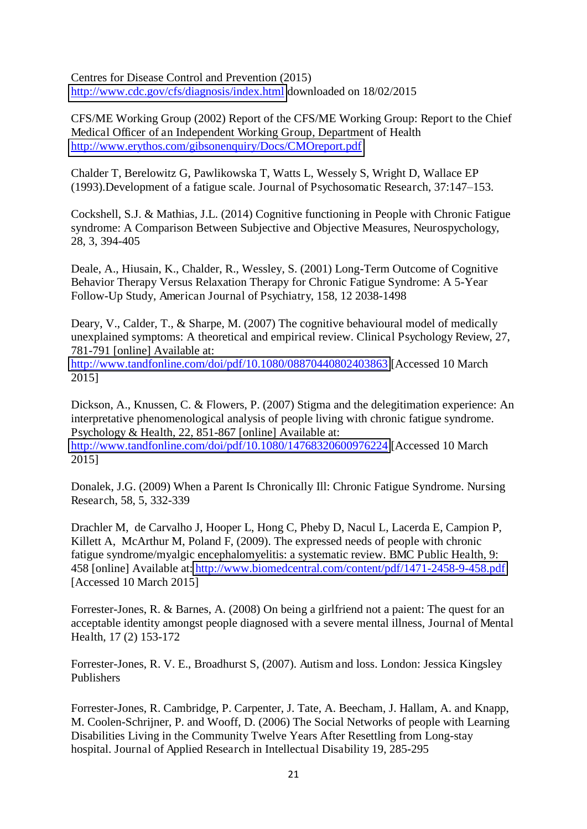Centres for Disease Control and Prevention (2015) <http://www.cdc.gov/cfs/diagnosis/index.html>downloaded on 18/02/2015

CFS/ME Working Group (2002) Report of the CFS/ME Working Group: Report to the Chief Medical Officer of an Independent Working Group, Department of Health <http://www.erythos.com/gibsonenquiry/Docs/CMOreport.pdf>

Chalder T, Berelowitz G, Pawlikowska T, Watts L, Wessely S, Wright D, Wallace EP (1993).Development of a fatigue scale. Journal of Psychosomatic Research, 37:147–153.

Cockshell, S.J. & Mathias, J.L. (2014) Cognitive functioning in People with Chronic Fatigue syndrome: A Comparison Between Subjective and Objective Measures, Neurospychology, 28, 3, 394-405

Deale, A., Hiusain, K., Chalder, R., Wessley, S. (2001) Long-Term Outcome of Cognitive Behavior Therapy Versus Relaxation Therapy for Chronic Fatigue Syndrome: A 5-Year Follow-Up Study, American Journal of Psychiatry, 158, 12 2038-1498

Deary, V., Calder, T., & Sharpe, M. (2007) The cognitive behavioural model of medically unexplained symptoms: A theoretical and empirical review. Clinical Psychology Review, 27, 781-791 [online] Available at:

<http://www.tandfonline.com/doi/pdf/10.1080/08870440802403863>[Accessed 10 March 2015]

Dickson, A., Knussen, C. & Flowers, P. (2007) Stigma and the delegitimation experience: An interpretative phenomenological analysis of people living with chronic fatigue syndrome. Psychology & Health, 22, 851-867 [online] Available at: <http://www.tandfonline.com/doi/pdf/10.1080/14768320600976224>[Accessed 10 March 2015]

Donalek, J.G. (2009) When a Parent Is Chronically Ill: Chronic Fatigue Syndrome. Nursing Research, 58, 5, 332-339

Drachler M, de Carvalho J, Hooper L, Hong C, Pheby D, Nacul L, Lacerda E, Campion P, Killett A, McArthur M, Poland F, (2009). The expressed needs of people with chronic fatigue syndrome/myalgic encephalomyelitis: a systematic review. BMC Public Health, 9: 458 [online] Available at: <http://www.biomedcentral.com/content/pdf/1471-2458-9-458.pdf> [Accessed 10 March 2015]

Forrester-Jones, R. & Barnes, A. (2008) On being a girlfriend not a paient: The quest for an acceptable identity amongst people diagnosed with a severe mental illness, Journal of Mental Health, 17 (2) 153-172

Forrester-Jones, R. V. E., Broadhurst S, (2007). Autism and loss. London: Jessica Kingsley Publishers

Forrester-Jones, R. Cambridge, P. Carpenter, J. Tate, A. Beecham, J. Hallam, A. and Knapp, M. Coolen-Schrijner, P. and Wooff, D. (2006) The Social Networks of people with Learning Disabilities Living in the Community Twelve Years After Resettling from Long-stay hospital. Journal of Applied Research in Intellectual Disability 19, 285-295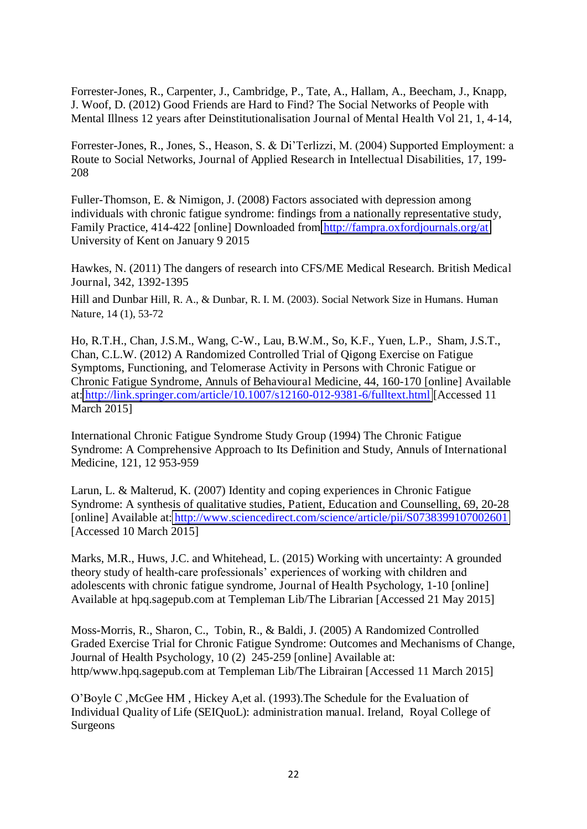Forrester-Jones, R., Carpenter, J., Cambridge, P., Tate, A., Hallam, A., Beecham, J., Knapp, J. Woof, D. (2012) Good Friends are Hard to Find? The Social Networks of People with Mental Illness 12 years after Deinstitutionalisation Journal of Mental Health Vol 21, 1, 4-14,

Forrester-Jones, R., Jones, S., Heason, S. & Di'Terlizzi, M. (2004) Supported Employment: a Route to Social Networks, Journal of Applied Research in Intellectual Disabilities, 17, 199- 208

Fuller-Thomson, E. & Nimigon, J. (2008) Factors associated with depression among individuals with chronic fatigue syndrome: findings from a nationally representative study, Family Practice, 414-422 [online] Downloaded from<http://fampra.oxfordjournals.org/at> University of Kent on January 9 2015

Hawkes, N. (2011) The dangers of research into CFS/ME Medical Research. British Medical Journal, 342, 1392-1395

Hill and Dunbar Hill, R. A., & Dunbar, R. I. M. (2003). Social Network Size in Humans. Human Nature, 14 (1), 53-72

Ho, R.T.H., Chan, J.S.M., Wang, C-W., Lau, B.W.M., So, K.F., Yuen, L.P., Sham, J.S.T., Chan, C.L.W. (2012) A Randomized Controlled Trial of Qigong Exercise on Fatigue Symptoms, Functioning, and Telomerase Activity in Persons with Chronic Fatigue or Chronic Fatigue Syndrome, Annuls of Behavioural Medicine, 44, 160-170 [online] Available at: <http://link.springer.com/article/10.1007/s12160-012-9381-6/fulltext.html>[Accessed 11 March 2015]

International Chronic Fatigue Syndrome Study Group (1994) The Chronic Fatigue Syndrome: A Comprehensive Approach to Its Definition and Study, Annuls of International Medicine, 121, 12 953-959

Larun, L. & Malterud, K. (2007) Identity and coping experiences in Chronic Fatigue Syndrome: A synthesis of qualitative studies, Patient, Education and Counselling, 69, 20-28 [online] Available at: <http://www.sciencedirect.com/science/article/pii/S0738399107002601> [Accessed 10 March 2015]

Marks, M.R., Huws, J.C. and Whitehead, L. (2015) Working with uncertainty: A grounded theory study of health-care professionals' experiences of working with children and adolescents with chronic fatigue syndrome, Journal of Health Psychology, 1-10 [online] Available at hpq.sagepub.com at Templeman Lib/The Librarian [Accessed 21 May 2015]

Moss-Morris, R., Sharon, C., Tobin, R., & Baldi, J. (2005) A Randomized Controlled Graded Exercise Trial for Chronic Fatigue Syndrome: Outcomes and Mechanisms of Change, Journal of Health Psychology, 10 (2) 245-259 [online] Available at: http/www.hpq.sagepub.com at Templeman Lib/The Librairan [Accessed 11 March 2015]

O'Boyle C ,McGee HM , Hickey A,et al. (1993).The Schedule for the Evaluation of Individual Quality of Life (SEIQuoL): administration manual. Ireland, Royal College of Surgeons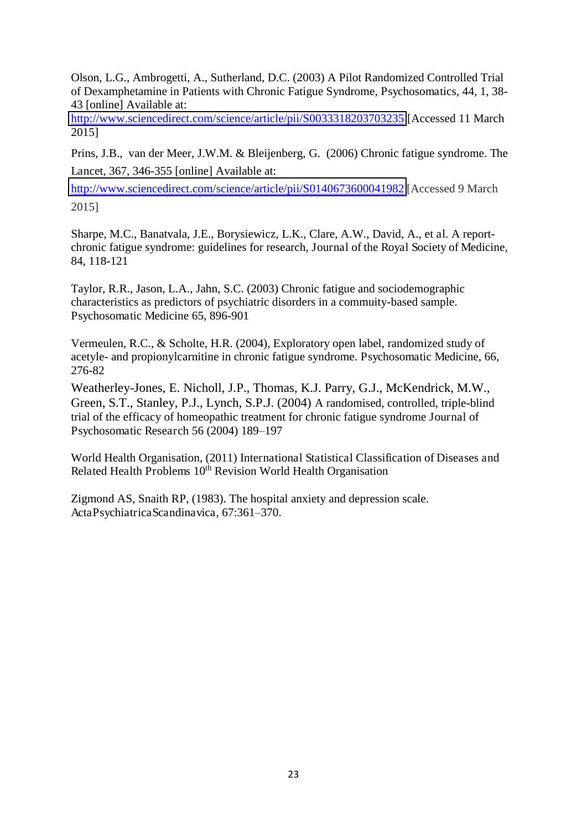Olson, L.G., Ambrogetti, A., Sutherland, D.C. (2003) A Pilot Randomized Controlled Trial of Dexamphetamine in Patients with Chronic Fatigue Syndrome, Psychosomatics, 44, 1, 38- 43 [online] Available at:

<http://www.sciencedirect.com/science/article/pii/S0033318203703235>[Accessed 11 March 2015]

Prins, J.B., van der Meer, J.W.M. & Bleijenberg, G. (2006) Chronic fatigue syndrome. The Lancet, 367, 346-355 [online] Available at:

<http://www.sciencedirect.com/science/article/pii/S0140673600041982> [Accessed 9 March 2015]

Sharpe, M.C., Banatvala, J.E., Borysiewicz, L.K., Clare, A.W., David, A., et al. A reportchronic fatigue syndrome: guidelines for research, Journal of the Royal Society of Medicine, 84, 118-121

Taylor, R.R., Jason, L.A., Jahn, S.C. (2003) Chronic fatigue and sociodemographic characteristics as predictors of psychiatric disorders in a commuity-based sample. Psychosomatic Medicine 65, 896-901

Vermeulen, R.C., & Scholte, H.R. (2004), Exploratory open label, randomized study of acetyle- and propionylcarnitine in chronic fatigue syndrome. Psychosomatic Medicine, 66, 276-82

Weatherley-Jones, E. Nicholl, J.P., Thomas, K.J. Parry, G.J., McKendrick, M.W., Green, S.T., Stanley, P.J., Lynch, S.P.J. (2004) A randomised, controlled, triple-blind trial of the efficacy of homeopathic treatment for chronic fatigue syndrome Journal of Psychosomatic Research 56 (2004) 189–197

World Health Organisation, (2011) International Statistical Classification of Diseases and Related Health Problems 10<sup>th</sup> Revision World Health Organisation

Zigmond AS, Snaith RP, (1983). The hospital anxiety and depression scale. ActaPsychiatricaScandinavica, 67:361–370.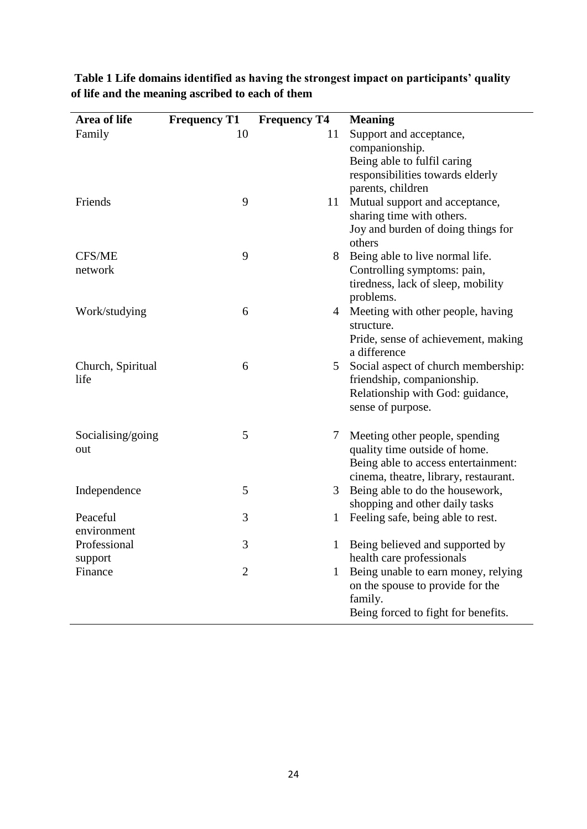| Area of life      | <b>Frequency T1</b> | <b>Frequency T4</b> | <b>Meaning</b>                                  |
|-------------------|---------------------|---------------------|-------------------------------------------------|
| Family            | 10                  | 11                  | Support and acceptance,                         |
|                   |                     |                     | companionship.                                  |
|                   |                     |                     | Being able to fulfil caring                     |
|                   |                     |                     | responsibilities towards elderly                |
|                   |                     |                     | parents, children                               |
| Friends           | 9                   | 11                  | Mutual support and acceptance,                  |
|                   |                     |                     | sharing time with others.                       |
|                   |                     |                     | Joy and burden of doing things for              |
|                   |                     |                     | others                                          |
| CFS/ME            | 9                   | 8                   | Being able to live normal life.                 |
| network           |                     |                     | Controlling symptoms: pain,                     |
|                   |                     |                     | tiredness, lack of sleep, mobility              |
|                   |                     |                     | problems.                                       |
| Work/studying     | 6                   | 4                   | Meeting with other people, having<br>structure. |
|                   |                     |                     | Pride, sense of achievement, making             |
|                   |                     |                     | a difference                                    |
| Church, Spiritual | 6                   | 5                   | Social aspect of church membership:             |
| life              |                     |                     | friendship, companionship.                      |
|                   |                     |                     | Relationship with God: guidance,                |
|                   |                     |                     | sense of purpose.                               |
| Socialising/going | 5                   | 7                   | Meeting other people, spending                  |
| out               |                     |                     | quality time outside of home.                   |
|                   |                     |                     | Being able to access entertainment:             |
|                   |                     |                     | cinema, theatre, library, restaurant.           |
| Independence      | 5                   | 3                   | Being able to do the housework,                 |
|                   |                     |                     | shopping and other daily tasks                  |
| Peaceful          | 3                   | 1                   | Feeling safe, being able to rest.               |
| environment       |                     |                     |                                                 |
| Professional      | 3                   |                     | Being believed and supported by                 |
| support           |                     |                     | health care professionals                       |
| Finance           | $\overline{2}$      | 1                   | Being unable to earn money, relying             |
|                   |                     |                     | on the spouse to provide for the                |
|                   |                     |                     | family.                                         |
|                   |                     |                     | Being forced to fight for benefits.             |

**Table 1 Life domains identified as having the strongest impact on participants' quality of life and the meaning ascribed to each of them**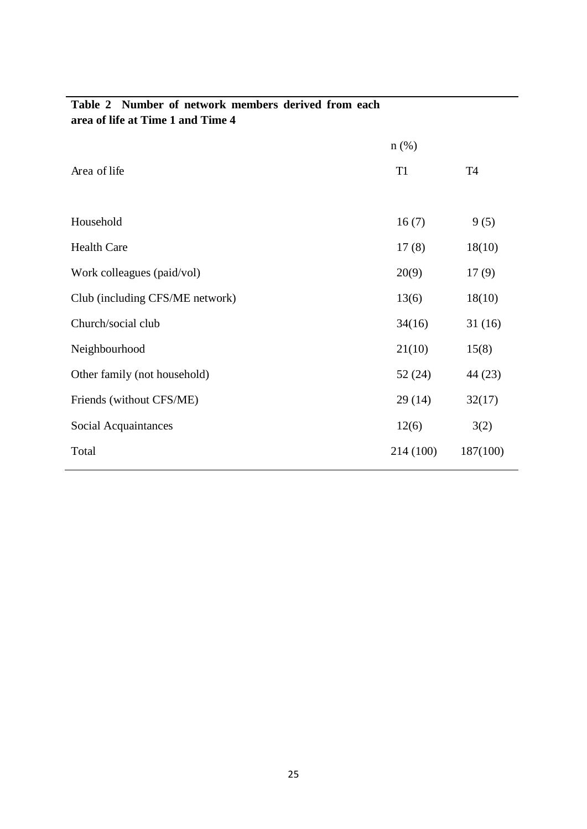| area of the at Thile T and Thile 4 |                |           |  |  |  |  |  |  |  |  |  |
|------------------------------------|----------------|-----------|--|--|--|--|--|--|--|--|--|
|                                    | $n$ (%)        |           |  |  |  |  |  |  |  |  |  |
| Area of life                       | T <sub>1</sub> | <b>T4</b> |  |  |  |  |  |  |  |  |  |
|                                    |                |           |  |  |  |  |  |  |  |  |  |
| Household                          | 16(7)          | 9(5)      |  |  |  |  |  |  |  |  |  |
| <b>Health Care</b>                 | 17(8)          | 18(10)    |  |  |  |  |  |  |  |  |  |
| Work colleagues (paid/vol)         | 20(9)          | 17(9)     |  |  |  |  |  |  |  |  |  |
| Club (including CFS/ME network)    | 13(6)          | 18(10)    |  |  |  |  |  |  |  |  |  |
| Church/social club                 | 34(16)         | 31(16)    |  |  |  |  |  |  |  |  |  |
| Neighbourhood                      | 21(10)         | 15(8)     |  |  |  |  |  |  |  |  |  |
| Other family (not household)       | 52(24)         | 44 (23)   |  |  |  |  |  |  |  |  |  |
| Friends (without CFS/ME)           | 29(14)         | 32(17)    |  |  |  |  |  |  |  |  |  |
| Social Acquaintances               | 12(6)          | 3(2)      |  |  |  |  |  |  |  |  |  |
| Total                              | 214 (100)      | 187(100)  |  |  |  |  |  |  |  |  |  |
|                                    |                |           |  |  |  |  |  |  |  |  |  |

#### **Table 2 Number of network members derived from each area of life at Time 1 and Time 4**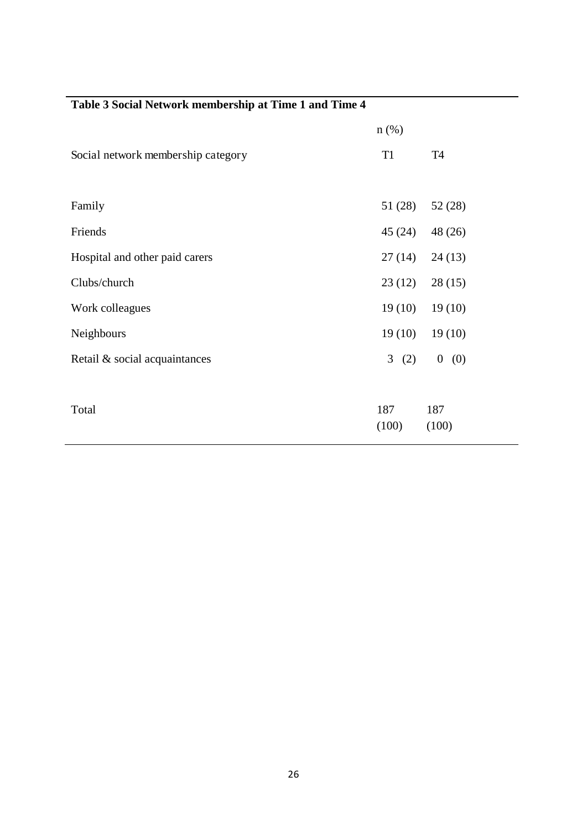|                                    | $n$ (%)        |           |
|------------------------------------|----------------|-----------|
| Social network membership category | T <sub>1</sub> | <b>T4</b> |
|                                    |                |           |
| Family                             | 51(28)         | 52(28)    |
| Friends                            | 45 (24)        | 48 (26)   |
| Hospital and other paid carers     | 27(14)         | 24(13)    |
| Clubs/church                       | 23(12)         | 28(15)    |
| Work colleagues                    | 19(10)         | 19(10)    |
| Neighbours                         | 19(10)         | 19(10)    |
| Retail & social acquaintances      | 3(2)           | 0(0)      |
|                                    |                |           |
| Total                              | 187            | 187       |
|                                    | (100)          | (100)     |

## **Table 3 Social Network membership at Time 1 and Time 4**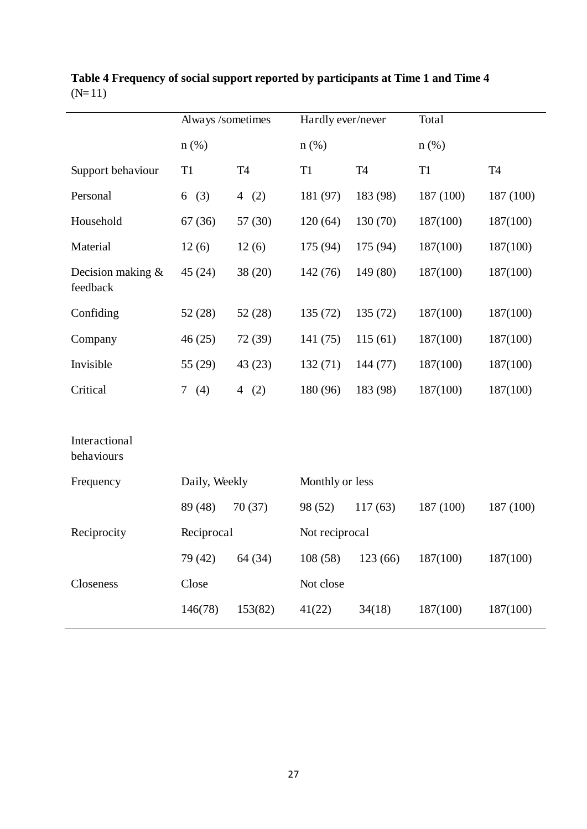|                                 | Always /sometimes  |           | Hardly ever/never |           | Total          |           |  |  |  |
|---------------------------------|--------------------|-----------|-------------------|-----------|----------------|-----------|--|--|--|
|                                 | $n$ (%)            |           | $n$ (%)           |           | $n$ (%)        |           |  |  |  |
| Support behaviour               | T <sub>1</sub>     | <b>T4</b> | T1                | <b>T4</b> | T <sub>1</sub> | <b>T4</b> |  |  |  |
| Personal                        | (3)<br>6           | 4 $(2)$   | 181 (97)          | 183 (98)  | 187 (100)      | 187 (100) |  |  |  |
| Household                       | 67(36)             | 57 (30)   | 120(64)           | 130 (70)  | 187(100)       | 187(100)  |  |  |  |
| Material                        | 12(6)              | 12(6)     | 175 (94)          | 175 (94)  | 187(100)       | 187(100)  |  |  |  |
| Decision making $&$<br>feedback | 45(24)             | 38 (20)   | 142(76)           | 149 (80)  | 187(100)       | 187(100)  |  |  |  |
| Confiding                       | 52(28)             | 52(28)    | 135(72)           | 135(72)   | 187(100)       | 187(100)  |  |  |  |
| Company                         | 46(25)             | 72 (39)   | 141(75)           | 115(61)   | 187(100)       | 187(100)  |  |  |  |
| Invisible                       | 55 (29)            | 43(23)    | 132(71)           | 144 (77)  | 187(100)       | 187(100)  |  |  |  |
| Critical                        | (4)<br>7           | 4 $(2)$   | 180 (96)          | 183 (98)  | 187(100)       | 187(100)  |  |  |  |
|                                 |                    |           |                   |           |                |           |  |  |  |
| Interactional<br>behaviours     |                    |           |                   |           |                |           |  |  |  |
| Frequency                       | Daily, Weekly      |           | Monthly or less   |           |                |           |  |  |  |
|                                 | 89 (48)<br>70(37)  |           | 98 (52)           | 117(63)   |                | 187 (100) |  |  |  |
| Reciprocity                     | Reciprocal         |           | Not reciprocal    |           |                |           |  |  |  |
|                                 | 79 (42)            | 64(34)    | 108(58)           | 123(66)   | 187(100)       | 187(100)  |  |  |  |
| Closeness                       | Close              |           | Not close         |           |                |           |  |  |  |
|                                 | 153(82)<br>146(78) |           | 41(22)            | 34(18)    | 187(100)       | 187(100)  |  |  |  |
|                                 |                    |           |                   |           |                |           |  |  |  |

**Table 4 Frequency of social support reported by participants at Time 1 and Time 4**   $(N=11)$